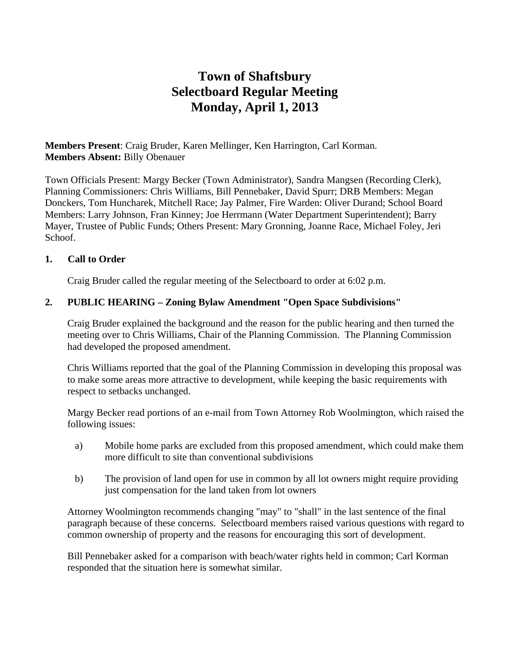# **Town of Shaftsbury Selectboard Regular Meeting Monday, April 1, 2013**

**Members Present**: Craig Bruder, Karen Mellinger, Ken Harrington, Carl Korman. **Members Absent:** Billy Obenauer

Town Officials Present: Margy Becker (Town Administrator), Sandra Mangsen (Recording Clerk), Planning Commissioners: Chris Williams, Bill Pennebaker, David Spurr; DRB Members: Megan Donckers, Tom Huncharek, Mitchell Race; Jay Palmer, Fire Warden: Oliver Durand; School Board Members: Larry Johnson, Fran Kinney; Joe Herrmann (Water Department Superintendent); Barry Mayer, Trustee of Public Funds; Others Present: Mary Gronning, Joanne Race, Michael Foley, Jeri Schoof.

### **1. Call to Order**

Craig Bruder called the regular meeting of the Selectboard to order at 6:02 p.m.

### **2. PUBLIC HEARING – Zoning Bylaw Amendment "Open Space Subdivisions"**

Craig Bruder explained the background and the reason for the public hearing and then turned the meeting over to Chris Williams, Chair of the Planning Commission. The Planning Commission had developed the proposed amendment.

Chris Williams reported that the goal of the Planning Commission in developing this proposal was to make some areas more attractive to development, while keeping the basic requirements with respect to setbacks unchanged.

Margy Becker read portions of an e-mail from Town Attorney Rob Woolmington, which raised the following issues:

- a) Mobile home parks are excluded from this proposed amendment, which could make them more difficult to site than conventional subdivisions
- b) The provision of land open for use in common by all lot owners might require providing just compensation for the land taken from lot owners

Attorney Woolmington recommends changing "may" to "shall" in the last sentence of the final paragraph because of these concerns. Selectboard members raised various questions with regard to common ownership of property and the reasons for encouraging this sort of development.

Bill Pennebaker asked for a comparison with beach/water rights held in common; Carl Korman responded that the situation here is somewhat similar.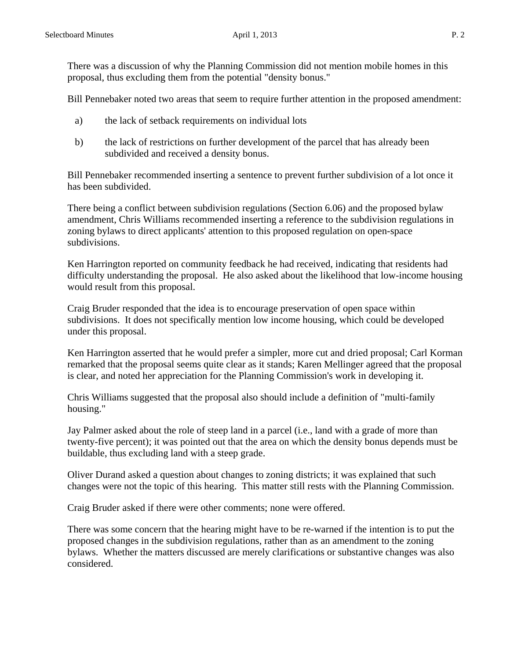There was a discussion of why the Planning Commission did not mention mobile homes in this proposal, thus excluding them from the potential "density bonus."

Bill Pennebaker noted two areas that seem to require further attention in the proposed amendment:

- a) the lack of setback requirements on individual lots
- b) the lack of restrictions on further development of the parcel that has already been subdivided and received a density bonus.

Bill Pennebaker recommended inserting a sentence to prevent further subdivision of a lot once it has been subdivided.

There being a conflict between subdivision regulations (Section 6.06) and the proposed bylaw amendment, Chris Williams recommended inserting a reference to the subdivision regulations in zoning bylaws to direct applicants' attention to this proposed regulation on open-space subdivisions.

Ken Harrington reported on community feedback he had received, indicating that residents had difficulty understanding the proposal. He also asked about the likelihood that low-income housing would result from this proposal.

Craig Bruder responded that the idea is to encourage preservation of open space within subdivisions. It does not specifically mention low income housing, which could be developed under this proposal.

Ken Harrington asserted that he would prefer a simpler, more cut and dried proposal; Carl Korman remarked that the proposal seems quite clear as it stands; Karen Mellinger agreed that the proposal is clear, and noted her appreciation for the Planning Commission's work in developing it.

Chris Williams suggested that the proposal also should include a definition of "multi-family housing."

Jay Palmer asked about the role of steep land in a parcel (i.e., land with a grade of more than twenty-five percent); it was pointed out that the area on which the density bonus depends must be buildable, thus excluding land with a steep grade.

Oliver Durand asked a question about changes to zoning districts; it was explained that such changes were not the topic of this hearing. This matter still rests with the Planning Commission.

Craig Bruder asked if there were other comments; none were offered.

There was some concern that the hearing might have to be re-warned if the intention is to put the proposed changes in the subdivision regulations, rather than as an amendment to the zoning bylaws. Whether the matters discussed are merely clarifications or substantive changes was also considered.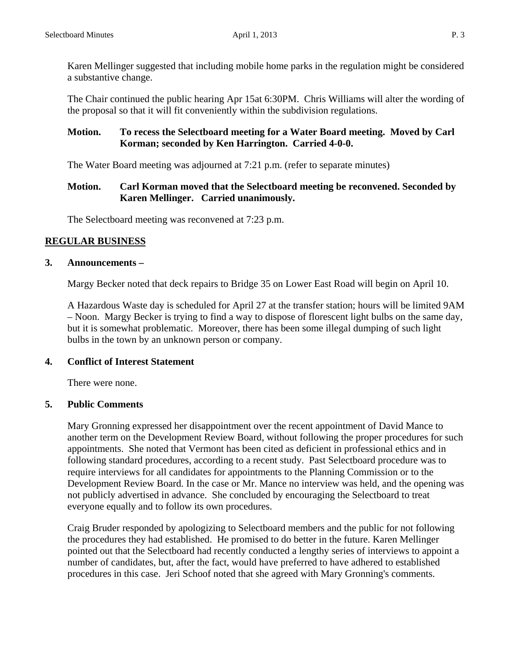Karen Mellinger suggested that including mobile home parks in the regulation might be considered a substantive change.

The Chair continued the public hearing Apr 15at 6:30PM. Chris Williams will alter the wording of the proposal so that it will fit conveniently within the subdivision regulations.

## **Motion. To recess the Selectboard meeting for a Water Board meeting. Moved by Carl Korman; seconded by Ken Harrington. Carried 4-0-0.**

The Water Board meeting was adjourned at 7:21 p.m. (refer to separate minutes)

### **Motion. Carl Korman moved that the Selectboard meeting be reconvened. Seconded by Karen Mellinger. Carried unanimously.**

The Selectboard meeting was reconvened at 7:23 p.m.

# **REGULAR BUSINESS**

### **3. Announcements –**

Margy Becker noted that deck repairs to Bridge 35 on Lower East Road will begin on April 10.

A Hazardous Waste day is scheduled for April 27 at the transfer station; hours will be limited 9AM – Noon. Margy Becker is trying to find a way to dispose of florescent light bulbs on the same day, but it is somewhat problematic. Moreover, there has been some illegal dumping of such light bulbs in the town by an unknown person or company.

### **4. Conflict of Interest Statement**

There were none.

### **5. Public Comments**

Mary Gronning expressed her disappointment over the recent appointment of David Mance to another term on the Development Review Board, without following the proper procedures for such appointments. She noted that Vermont has been cited as deficient in professional ethics and in following standard procedures, according to a recent study. Past Selectboard procedure was to require interviews for all candidates for appointments to the Planning Commission or to the Development Review Board. In the case or Mr. Mance no interview was held, and the opening was not publicly advertised in advance. She concluded by encouraging the Selectboard to treat everyone equally and to follow its own procedures.

Craig Bruder responded by apologizing to Selectboard members and the public for not following the procedures they had established. He promised to do better in the future. Karen Mellinger pointed out that the Selectboard had recently conducted a lengthy series of interviews to appoint a number of candidates, but, after the fact, would have preferred to have adhered to established procedures in this case. Jeri Schoof noted that she agreed with Mary Gronning's comments.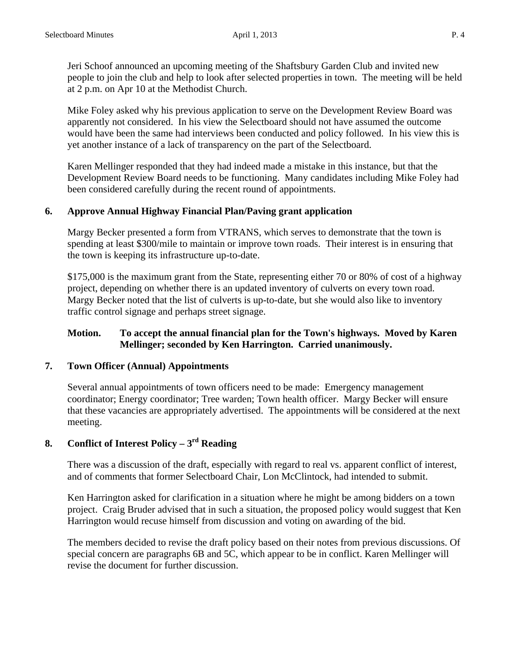Jeri Schoof announced an upcoming meeting of the Shaftsbury Garden Club and invited new people to join the club and help to look after selected properties in town. The meeting will be held at 2 p.m. on Apr 10 at the Methodist Church.

Mike Foley asked why his previous application to serve on the Development Review Board was apparently not considered. In his view the Selectboard should not have assumed the outcome would have been the same had interviews been conducted and policy followed. In his view this is yet another instance of a lack of transparency on the part of the Selectboard.

Karen Mellinger responded that they had indeed made a mistake in this instance, but that the Development Review Board needs to be functioning. Many candidates including Mike Foley had been considered carefully during the recent round of appointments.

### **6. Approve Annual Highway Financial Plan/Paving grant application**

Margy Becker presented a form from VTRANS, which serves to demonstrate that the town is spending at least \$300/mile to maintain or improve town roads. Their interest is in ensuring that the town is keeping its infrastructure up-to-date.

\$175,000 is the maximum grant from the State, representing either 70 or 80% of cost of a highway project, depending on whether there is an updated inventory of culverts on every town road. Margy Becker noted that the list of culverts is up-to-date, but she would also like to inventory traffic control signage and perhaps street signage.

### **Motion. To accept the annual financial plan for the Town's highways. Moved by Karen Mellinger; seconded by Ken Harrington. Carried unanimously.**

### **7. Town Officer (Annual) Appointments**

Several annual appointments of town officers need to be made: Emergency management coordinator; Energy coordinator; Tree warden; Town health officer. Margy Becker will ensure that these vacancies are appropriately advertised. The appointments will be considered at the next meeting.

# **8. Conflict of Interest Policy – 3rd Reading**

There was a discussion of the draft, especially with regard to real vs. apparent conflict of interest, and of comments that former Selectboard Chair, Lon McClintock, had intended to submit.

Ken Harrington asked for clarification in a situation where he might be among bidders on a town project. Craig Bruder advised that in such a situation, the proposed policy would suggest that Ken Harrington would recuse himself from discussion and voting on awarding of the bid.

The members decided to revise the draft policy based on their notes from previous discussions. Of special concern are paragraphs 6B and 5C, which appear to be in conflict. Karen Mellinger will revise the document for further discussion.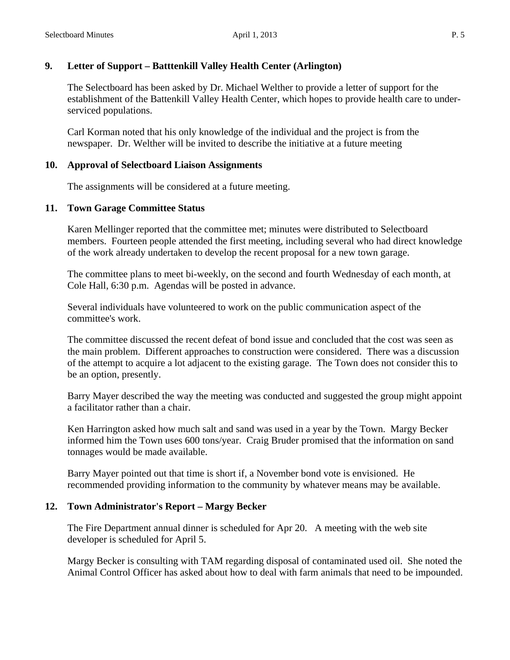# **9. Letter of Support – Batttenkill Valley Health Center (Arlington)**

The Selectboard has been asked by Dr. Michael Welther to provide a letter of support for the establishment of the Battenkill Valley Health Center, which hopes to provide health care to underserviced populations.

Carl Korman noted that his only knowledge of the individual and the project is from the newspaper. Dr. Welther will be invited to describe the initiative at a future meeting

### **10. Approval of Selectboard Liaison Assignments**

The assignments will be considered at a future meeting.

## **11. Town Garage Committee Status**

Karen Mellinger reported that the committee met; minutes were distributed to Selectboard members. Fourteen people attended the first meeting, including several who had direct knowledge of the work already undertaken to develop the recent proposal for a new town garage.

The committee plans to meet bi-weekly, on the second and fourth Wednesday of each month, at Cole Hall, 6:30 p.m. Agendas will be posted in advance.

Several individuals have volunteered to work on the public communication aspect of the committee's work.

The committee discussed the recent defeat of bond issue and concluded that the cost was seen as the main problem. Different approaches to construction were considered. There was a discussion of the attempt to acquire a lot adjacent to the existing garage. The Town does not consider this to be an option, presently.

Barry Mayer described the way the meeting was conducted and suggested the group might appoint a facilitator rather than a chair.

Ken Harrington asked how much salt and sand was used in a year by the Town. Margy Becker informed him the Town uses 600 tons/year. Craig Bruder promised that the information on sand tonnages would be made available.

Barry Mayer pointed out that time is short if, a November bond vote is envisioned. He recommended providing information to the community by whatever means may be available.

# **12. Town Administrator's Report – Margy Becker**

The Fire Department annual dinner is scheduled for Apr 20. A meeting with the web site developer is scheduled for April 5.

Margy Becker is consulting with TAM regarding disposal of contaminated used oil. She noted the Animal Control Officer has asked about how to deal with farm animals that need to be impounded.